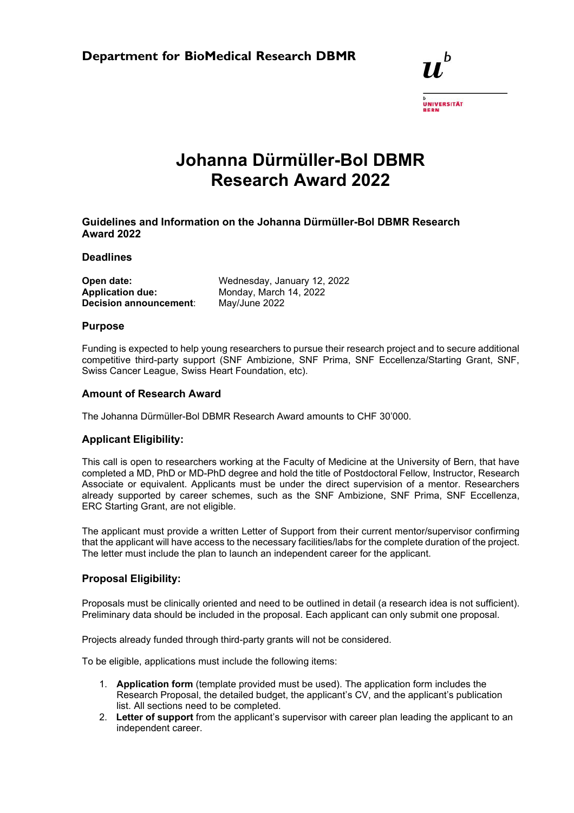

# **Johanna Dürmüller-Bol DBMR Research Award 2022**

**Guidelines and Information on the Johanna Dürmüller-Bol DBMR Research Award 2022** 

**Deadlines** 

| Open date:              |  |
|-------------------------|--|
| <b>Application due:</b> |  |
| Decision announcement:  |  |

Wednesday, January 12, 2022 **Application due:** Monday, March 14, 2022 **Decision announcement**: May/June 2022

## **Purpose**

Funding is expected to help young researchers to pursue their research project and to secure additional competitive third-party support (SNF Ambizione, SNF Prima, SNF Eccellenza/Starting Grant, SNF, Swiss Cancer League, Swiss Heart Foundation, etc).

### **Amount of Research Award**

The Johanna Dürmüller-Bol DBMR Research Award amounts to CHF 30'000.

## **Applicant Eligibility:**

This call is open to researchers working at the Faculty of Medicine at the University of Bern, that have completed a MD, PhD or MD-PhD degree and hold the title of Postdoctoral Fellow, Instructor, Research Associate or equivalent. Applicants must be under the direct supervision of a mentor. Researchers already supported by career schemes, such as the SNF Ambizione, SNF Prima, SNF Eccellenza, ERC Starting Grant, are not eligible.

The applicant must provide a written Letter of Support from their current mentor/supervisor confirming that the applicant will have access to the necessary facilities/labs for the complete duration of the project. The letter must include the plan to launch an independent career for the applicant.

## **Proposal Eligibility:**

Proposals must be clinically oriented and need to be outlined in detail (a research idea is not sufficient). Preliminary data should be included in the proposal. Each applicant can only submit one proposal.

Projects already funded through third-party grants will not be considered.

To be eligible, applications must include the following items:

- 1. **Application form** (template provided must be used). The application form includes the Research Proposal, the detailed budget, the applicant's CV, and the applicant's publication list. All sections need to be completed.
- 2. **Letter of support** from the applicant's supervisor with career plan leading the applicant to an independent career.